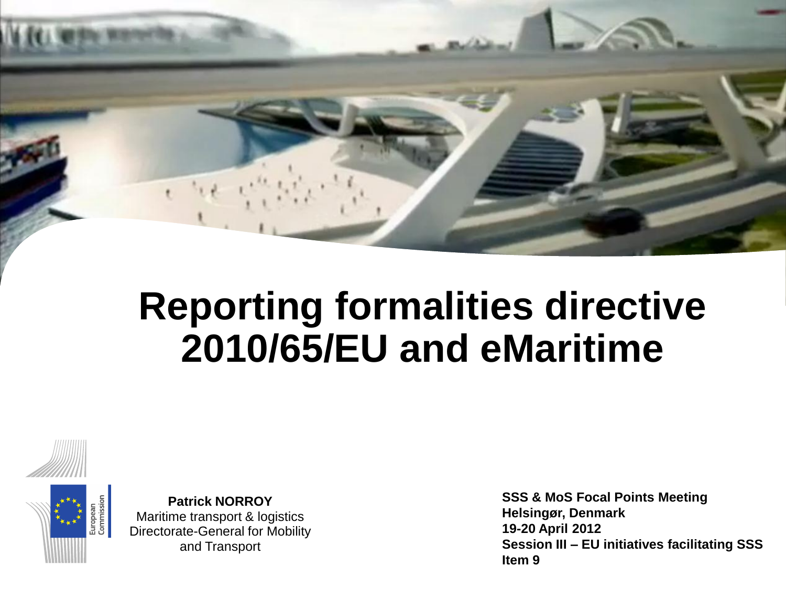





**Patrick NORROY** Maritime transport & logistics Directorate-General for Mobility and Transport

**SSS & MoS Focal Points Meeting Helsingør, Denmark 19-20 April 2012 Session III – EU initiatives facilitating SSS Item 9**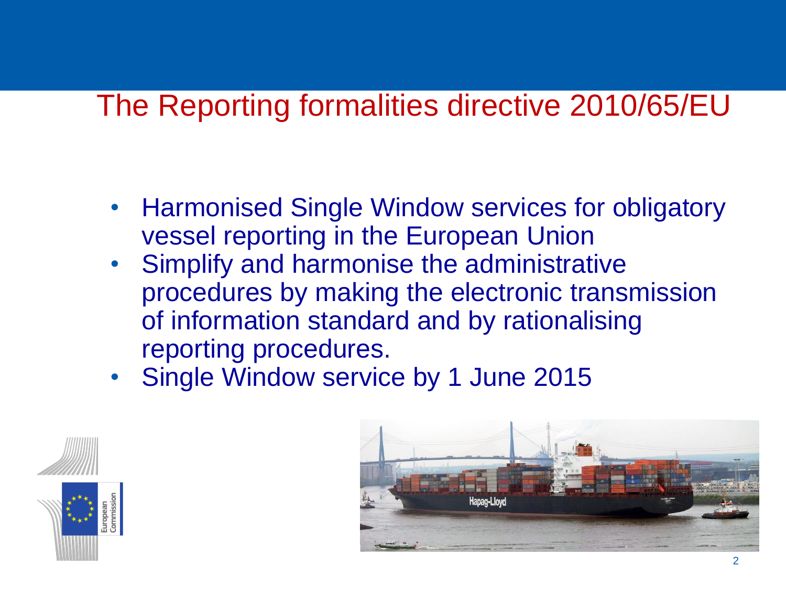### The Reporting formalities directive 2010/65/EU

- Harmonised Single Window services for obligatory vessel reporting in the European Union
- Simplify and harmonise the administrative procedures by making the electronic transmission of information standard and by rationalising reporting procedures.
- Single Window service by 1 June 2015



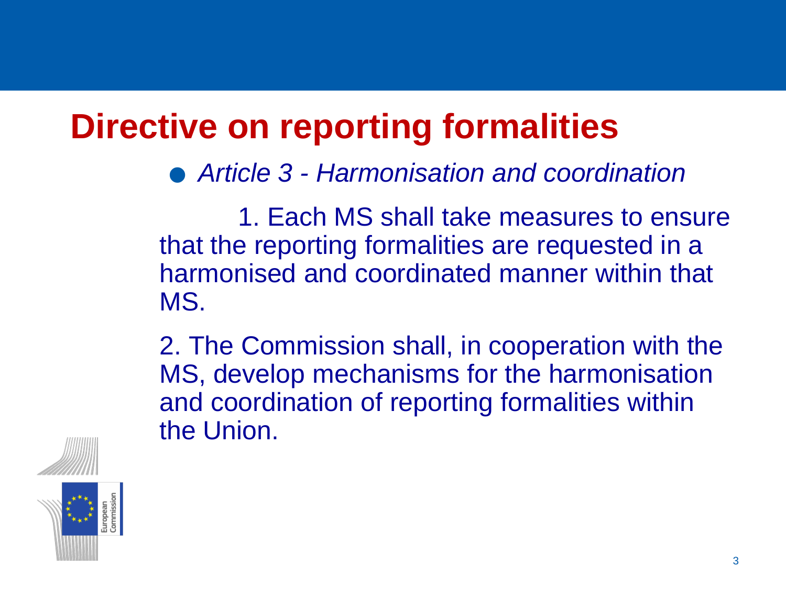# **Directive on reporting formalities** .*Article 3 - Harmonisation and coordination*

1. Each MS shall take measures to ensure that the reporting formalities are requested in a harmonised and coordinated manner within that MS.

2. The Commission shall, in cooperation with the MS, develop mechanisms for the harmonisation and coordination of reporting formalities within the Union.



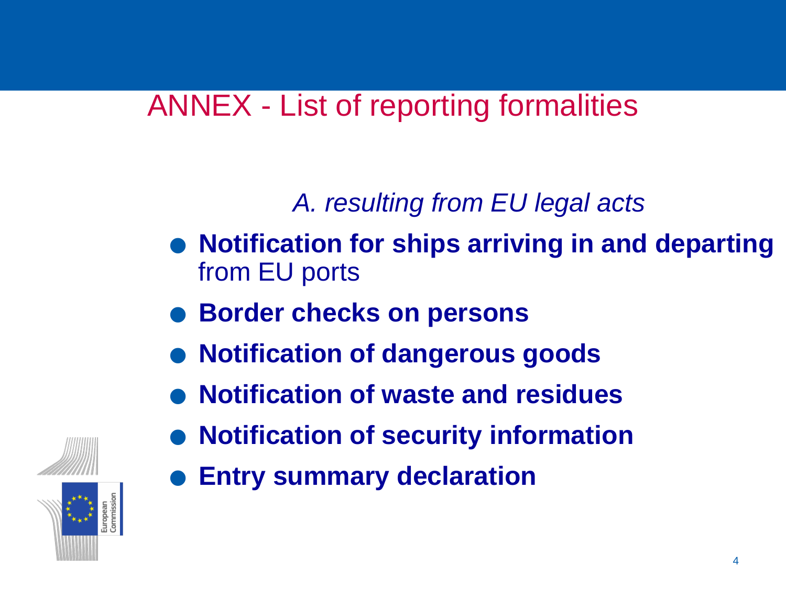### ANNEX - List of reporting formalities

### *A. resulting from EU legal acts*

- .**Notification for ships arriving in and departing**  from EU ports
- .**Border checks on persons**
- **. Border checks on persons<br>• Notification of dangerous goods**
- Notification of dangerous goods<br>● Notification of waste and residues
- .**Notification of security information**
- .**Entry summary declaration**

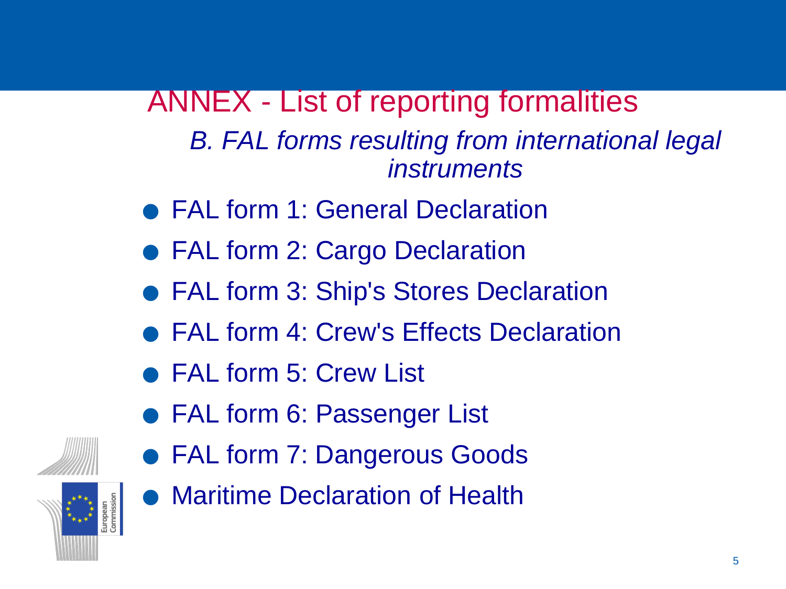ANNEX - List of reporting formalities *B. FAL forms resulting from international legal instruments*

- **FAL form 1: General Declaration**
- FAL form 2: Cargo Declaration
- FAL form 3: Cargo Declaration<br>● FAL form 3: Ship's Stores Declaration • FAL form 3: Ship's Stores Declaration<br>• FAL form 4: Crew's Effects Declaration
	- FAL form 4: Crew's Effects Declaration<br>• FAL form 5: Crew List
	-
- FAL form 6: Passenger List
- FAL form 6: Passenger List<br>● FAL form 7: Dangerous Goods • FAL form 7: Dangerous Goods<br>• Maritime Declaration of Health
	-





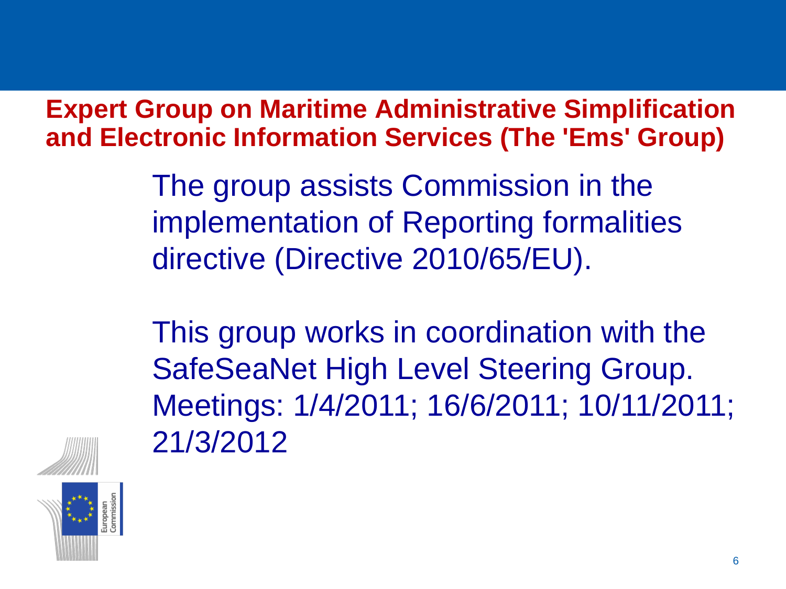**Expert Group on Maritime Administrative Simplification and Electronic Information Services (The 'Ems' Group)**

> The group assists Commission in the implementation of Reporting formalities directive (Directive 2010/65/EU).

This group works in coordination with the SafeSeaNet High Level Steering Group. Meetings: 1/4/2011; 16/6/2011; 10/11/2011; 21/3/2012



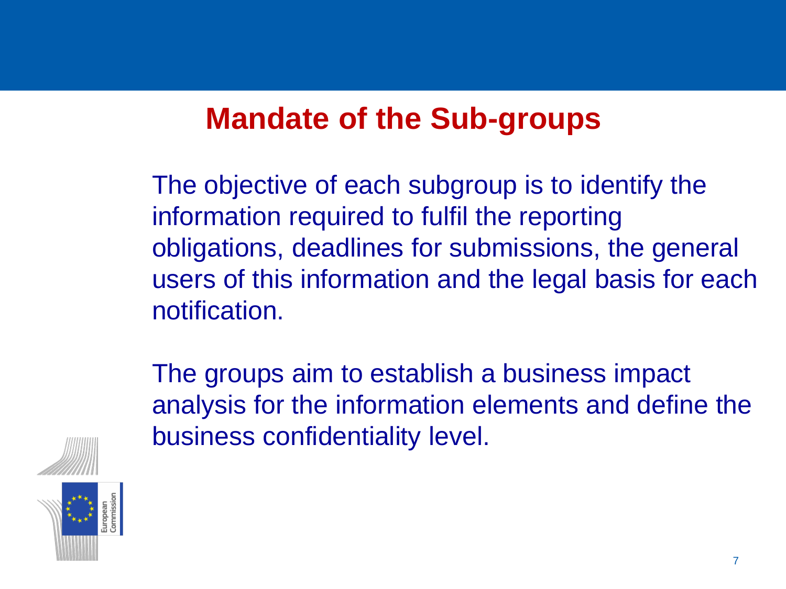### **Mandate of the Sub-groups**

The objective of each subgroup is to identify the information required to fulfil the reporting obligations, deadlines for submissions, the general users of this information and the legal basis for each notification.

The groups aim to establish a business impact analysis for the information elements and define the business confidentiality level.



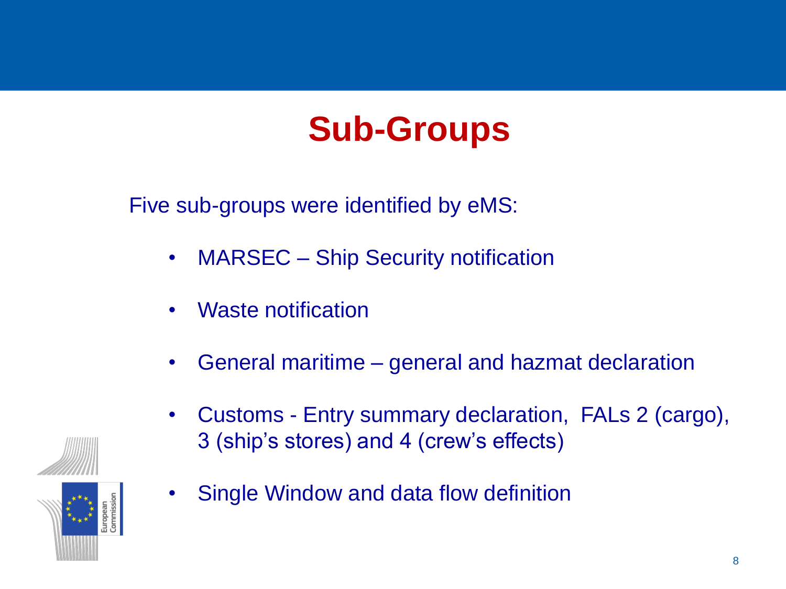## **Sub-Groups**

Five sub-groups were identified by eMS:

- MARSEC Ship Security notification
- Waste notification
- General maritime general and hazmat declaration
- Customs Entry summary declaration, FALs 2 (cargo), 3 (ship's stores) and 4 (crew's effects)
- Single Window and data flow definition

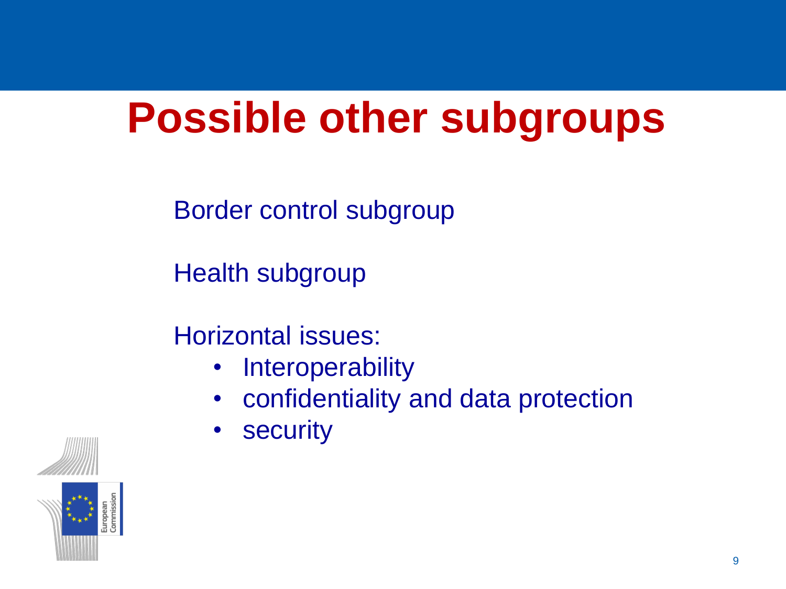## **Possible other subgroups**

Border control subgroup

Health subgroup

Horizontal issues:

- Interoperability
- confidentiality and data protection
- security



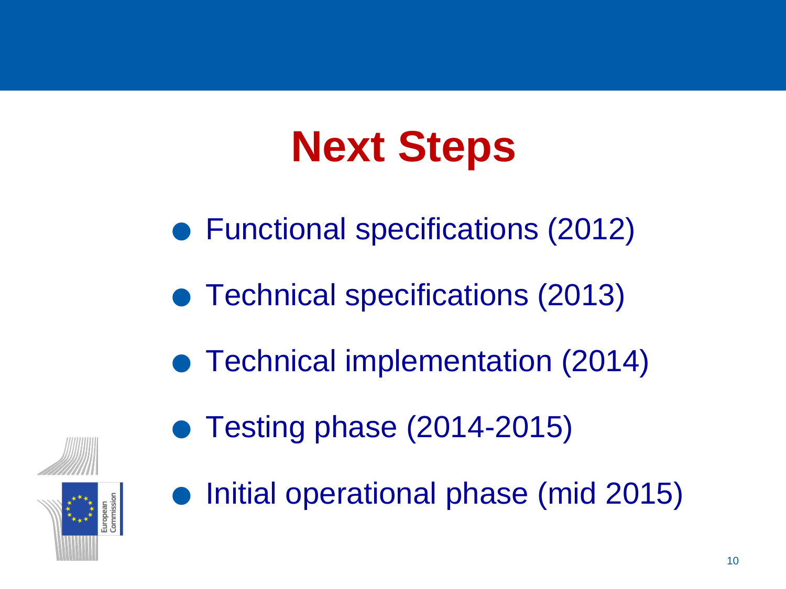# **Next Steps**

- **NEXT STEPS<br>• Functional specifications (2012)** ● Functional specifications (2012<br>● Technical specifications (2013)
	-
- Technical specifications (2013)<br>• Technical implementation (2014) ● Technical implementation (2014-2015)
	-



Testing phase (2014-2015)<br>Initial operational phase (mid 2015)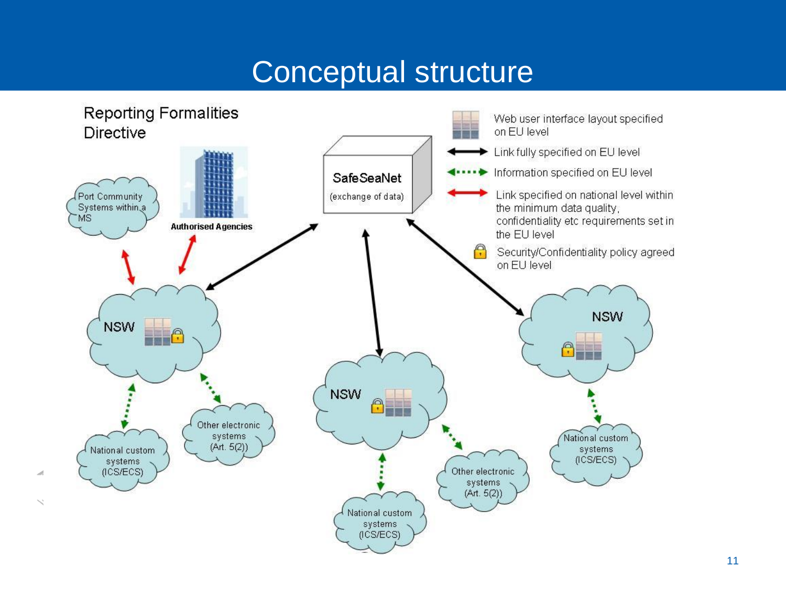### Conceptual structure



 $\diagup$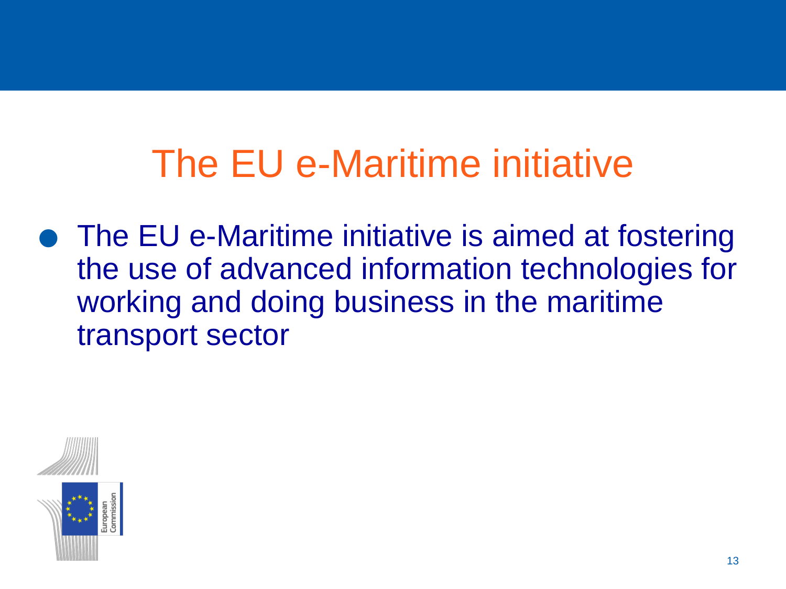## The EU e-Maritime initiative

• The EU e-Maritime initiative is aimed at fostering the use of advanced information technologies for working and doing business in the maritime transport sector

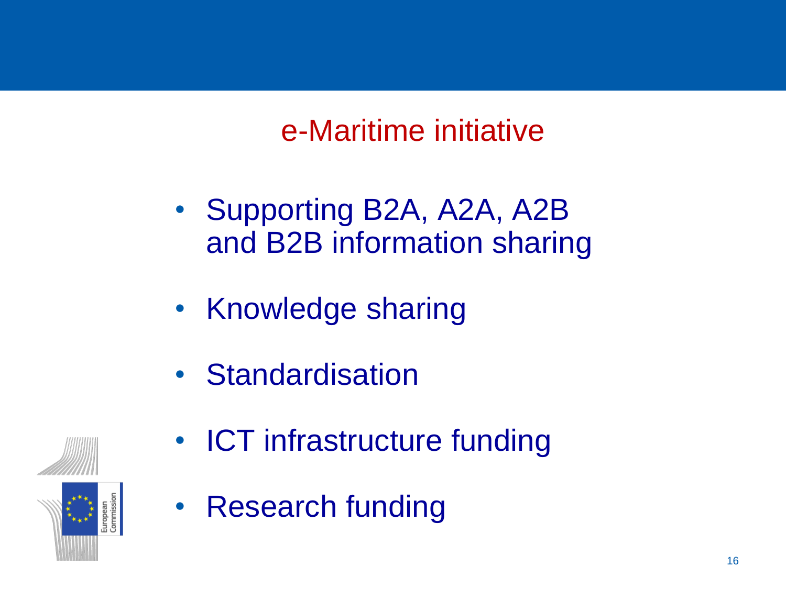### e-Maritime initiative

- Supporting B2A, A2A, A2B and B2B information sharing
- Knowledge sharing
- Standardisation



- ICT infrastructure funding
- Research funding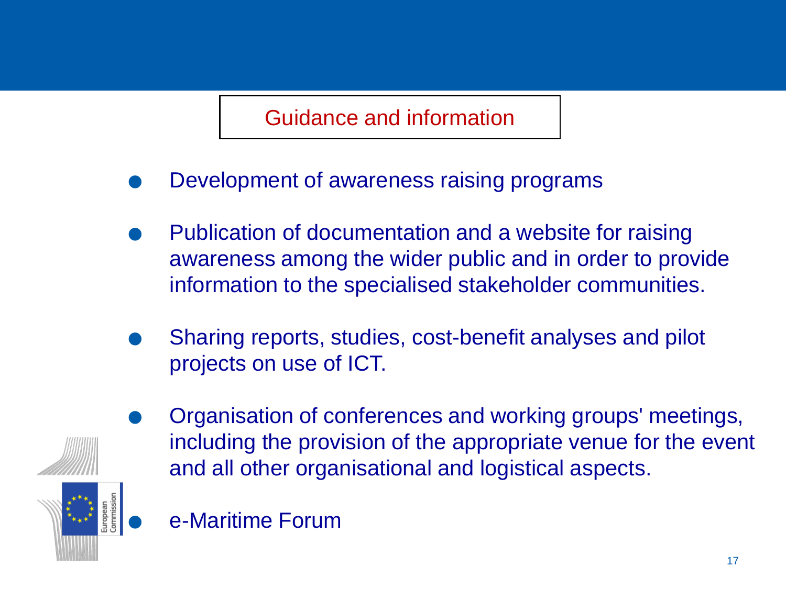Guidance and information

- . Development of awareness raising programs
- . Publication of documentation and a website for raising awareness among the wider public and in order to provide
- information to the specialised stakeholder communities.<br>● Sharing reports, studies, cost-benefit analyses and pilot projects on use of ICT.



- . Organisation of conferences and working groups' meetings, including the provision of the appropriate venue for the event and all other organisational and logistical aspects.
	- . e-Maritime Forum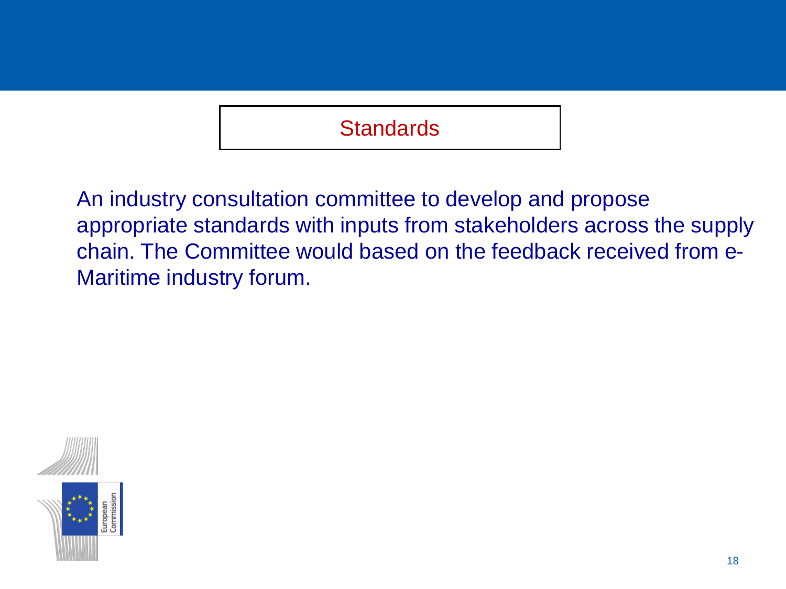#### **Standards**

An industry consultation committee to develop and propose appropriate standards with inputs from stakeholders across the supply chain. The Committee would based on the feedback received from e-Maritime industry forum.

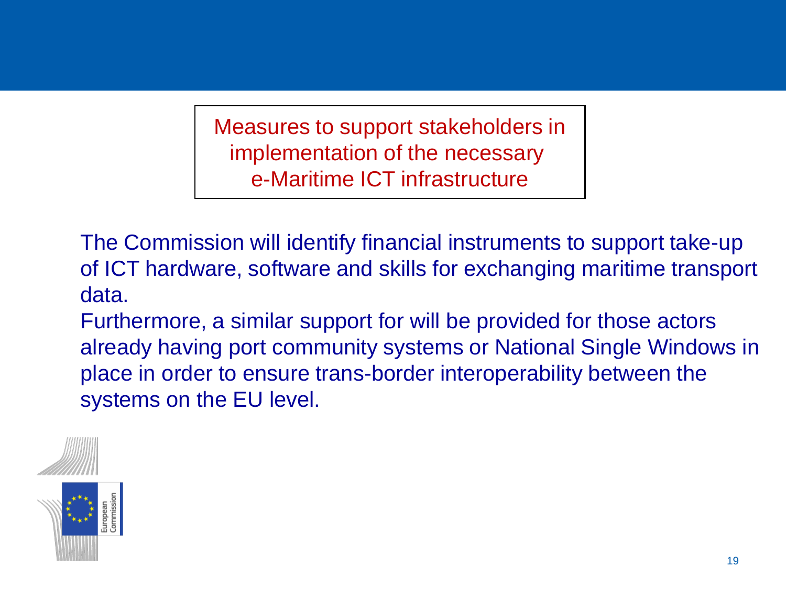Measures to support stakeholders in implementation of the necessary e-Maritime ICT infrastructure

The Commission will identify financial instruments to support take-up of ICT hardware, software and skills for exchanging maritime transport data.

Furthermore, a similar support for will be provided for those actors already having port community systems or National Single Windows in place in order to ensure trans-border interoperability between the systems on the EU level.



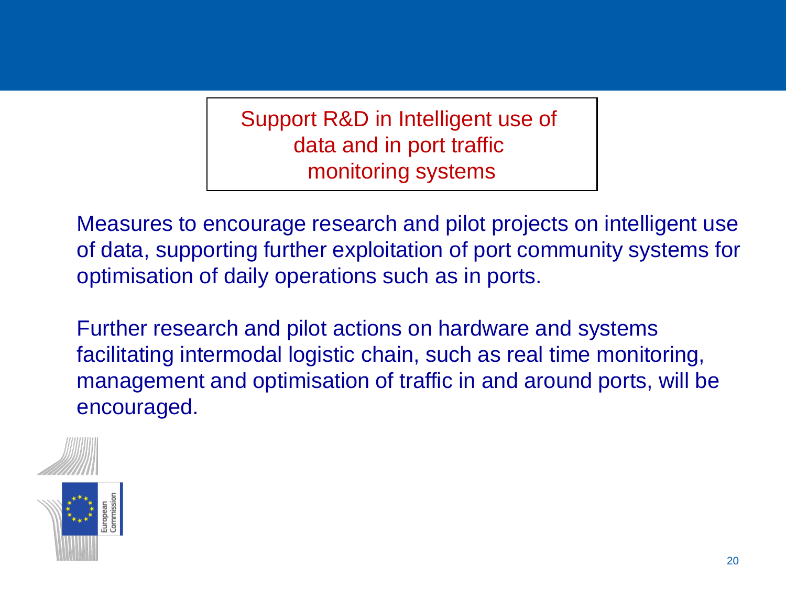Support R&D in Intelligent use of data and in port traffic monitoring systems

Measures to encourage research and pilot projects on intelligent use of data, supporting further exploitation of port community systems for optimisation of daily operations such as in ports.

Further research and pilot actions on hardware and systems facilitating intermodal logistic chain, such as real time monitoring, management and optimisation of traffic in and around ports, will be encouraged.



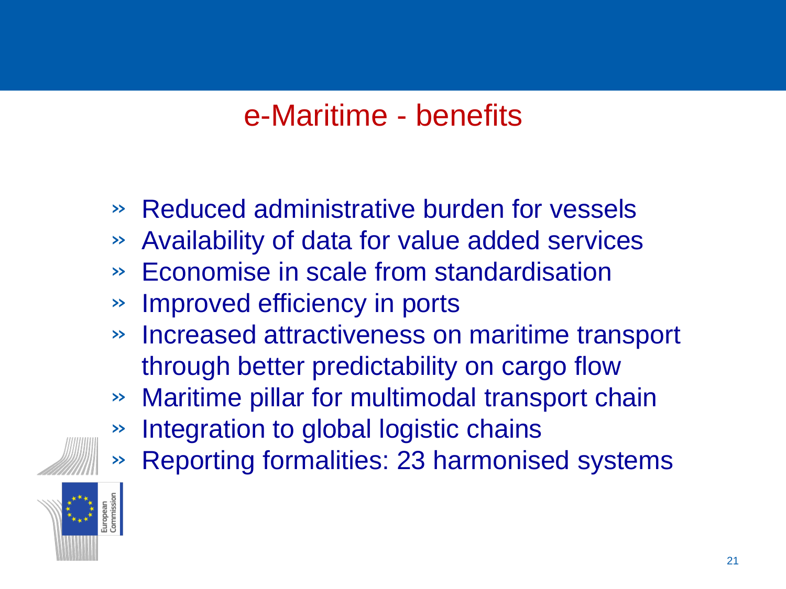### e-Maritime - benefits

- » Reduced administrative burden for vessels
- » Availability of data for value added services
- » Economise in scale from standardisation
- » Improved efficiency in ports
- » Increased attractiveness on maritime transport through better predictability on cargo flow
- » Maritime pillar for multimodal transport chain
- » Integration to global logistic chains
- » Reporting formalities: 23 harmonised systems

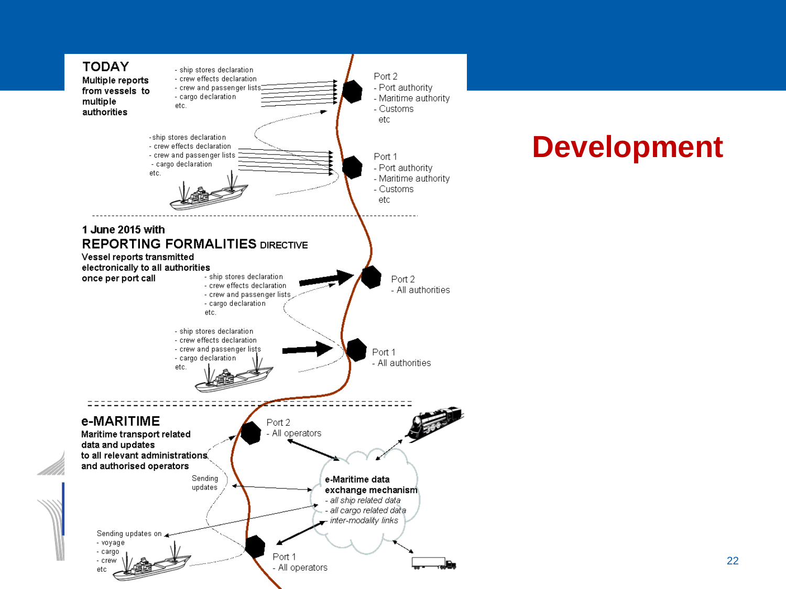

### **Development**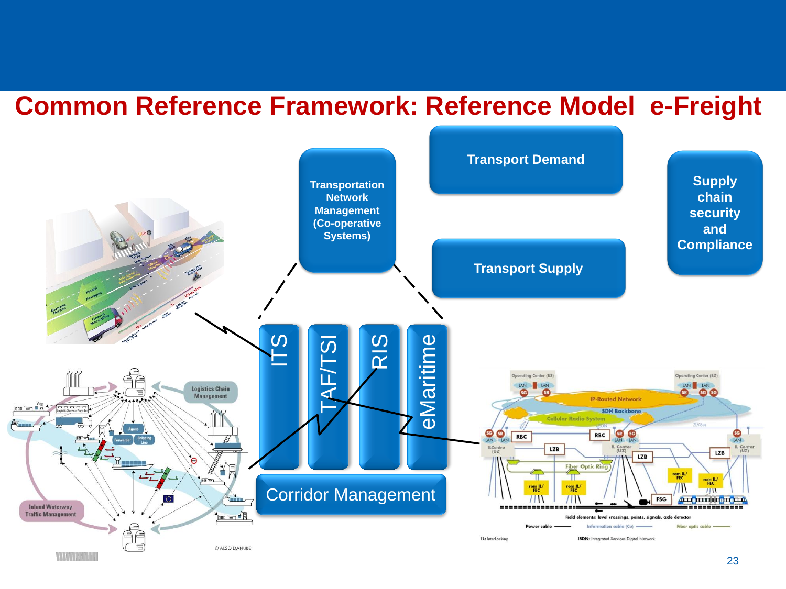#### **Common Reference Framework: Reference Model e-Freight**